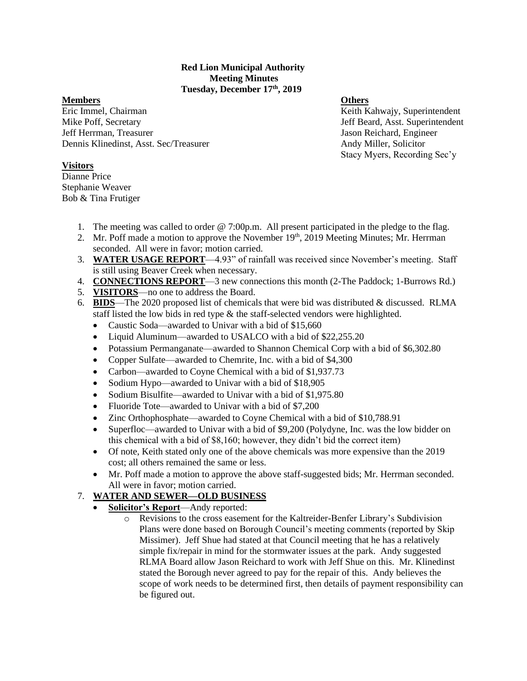### **Red Lion Municipal Authority Meeting Minutes Tuesday, December 17th, 2019**

## **Members Others**

Eric Immel, Chairman **Keith Kahwajy, Superintendent** Mike Poff, Secretary **Jeff Beard, Asst. Superintendent** Jeff Herrman, Treasurer Jason Reichard, Engineer Dennis Klinedinst, Asst. Sec/Treasurer Andy Miller, Solicitor

Stacy Myers, Recording Sec'y

# **Visitors**

Dianne Price Stephanie Weaver Bob & Tina Frutiger

- 1. The meeting was called to order @ 7:00p.m. All present participated in the pledge to the flag.
- 2. Mr. Poff made a motion to approve the November  $19<sup>th</sup>$ ,  $2019$  Meeting Minutes; Mr. Herrman seconded. All were in favor; motion carried.
- 3. **WATER USAGE REPORT**—4.93" of rainfall was received since November's meeting. Staff is still using Beaver Creek when necessary.
- 4. **CONNECTIONS REPORT**—3 new connections this month (2-The Paddock; 1-Burrows Rd.)
- 5. **VISITORS**—no one to address the Board.
- 6. **BIDS**—The 2020 proposed list of chemicals that were bid was distributed & discussed. RLMA staff listed the low bids in red type & the staff-selected vendors were highlighted.
	- Caustic Soda—awarded to Univar with a bid of \$15,660
	- Liquid Aluminum—awarded to USALCO with a bid of \$22,255.20
	- Potassium Permanganate—awarded to Shannon Chemical Corp with a bid of \$6,302.80
	- Copper Sulfate—awarded to Chemrite, Inc. with a bid of \$4,300
	- Carbon—awarded to Coyne Chemical with a bid of \$1,937.73
	- Sodium Hypo—awarded to Univar with a bid of \$18,905
	- Sodium Bisulfite—awarded to Univar with a bid of \$1,975.80
	- Fluoride Tote—awarded to Univar with a bid of \$7,200
	- Zinc Orthophosphate—awarded to Coyne Chemical with a bid of \$10,788.91
	- Superfloc—awarded to Univar with a bid of \$9,200 (Polydyne, Inc. was the low bidder on this chemical with a bid of \$8,160; however, they didn't bid the correct item)
	- Of note, Keith stated only one of the above chemicals was more expensive than the 2019 cost; all others remained the same or less.
	- Mr. Poff made a motion to approve the above staff-suggested bids; Mr. Herrman seconded. All were in favor; motion carried.

# 7. **WATER AND SEWER—OLD BUSINESS**

# • **Solicitor's Report**—Andy reported:

o Revisions to the cross easement for the Kaltreider-Benfer Library's Subdivision Plans were done based on Borough Council's meeting comments (reported by Skip Missimer). Jeff Shue had stated at that Council meeting that he has a relatively simple fix/repair in mind for the stormwater issues at the park. Andy suggested RLMA Board allow Jason Reichard to work with Jeff Shue on this. Mr. Klinedinst stated the Borough never agreed to pay for the repair of this. Andy believes the scope of work needs to be determined first, then details of payment responsibility can be figured out.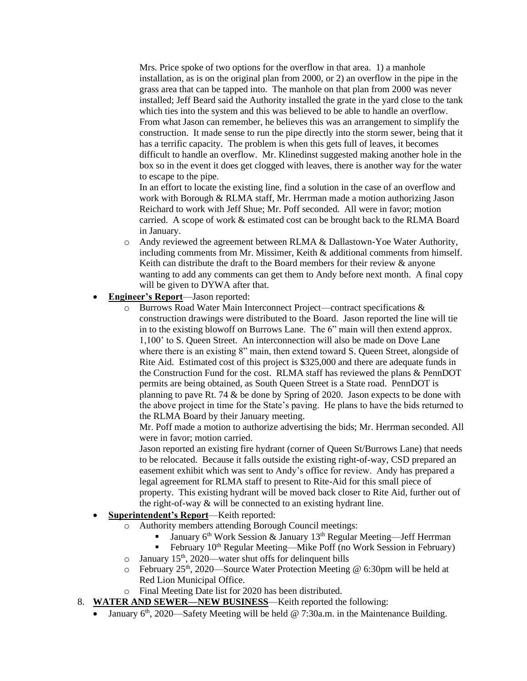Mrs. Price spoke of two options for the overflow in that area. 1) a manhole installation, as is on the original plan from 2000, or 2) an overflow in the pipe in the grass area that can be tapped into. The manhole on that plan from 2000 was never installed; Jeff Beard said the Authority installed the grate in the yard close to the tank which ties into the system and this was believed to be able to handle an overflow. From what Jason can remember, he believes this was an arrangement to simplify the construction. It made sense to run the pipe directly into the storm sewer, being that it has a terrific capacity. The problem is when this gets full of leaves, it becomes difficult to handle an overflow. Mr. Klinedinst suggested making another hole in the box so in the event it does get clogged with leaves, there is another way for the water to escape to the pipe.

In an effort to locate the existing line, find a solution in the case of an overflow and work with Borough & RLMA staff, Mr. Herrman made a motion authorizing Jason Reichard to work with Jeff Shue; Mr. Poff seconded. All were in favor; motion carried. A scope of work & estimated cost can be brought back to the RLMA Board in January.

- $\circ$  Andy reviewed the agreement between RLMA & Dallastown-Yoe Water Authority, including comments from Mr. Missimer, Keith & additional comments from himself. Keith can distribute the draft to the Board members for their review  $\&$  anyone wanting to add any comments can get them to Andy before next month. A final copy will be given to DYWA after that.
- **Engineer's Report**—Jason reported:
	- o Burrows Road Water Main Interconnect Project—contract specifications & construction drawings were distributed to the Board. Jason reported the line will tie in to the existing blowoff on Burrows Lane. The 6" main will then extend approx. 1,100' to S. Queen Street. An interconnection will also be made on Dove Lane where there is an existing 8" main, then extend toward S. Queen Street, alongside of Rite Aid. Estimated cost of this project is \$325,000 and there are adequate funds in the Construction Fund for the cost. RLMA staff has reviewed the plans & PennDOT permits are being obtained, as South Queen Street is a State road. PennDOT is planning to pave Rt. 74 & be done by Spring of 2020. Jason expects to be done with the above project in time for the State's paving. He plans to have the bids returned to the RLMA Board by their January meeting.

Mr. Poff made a motion to authorize advertising the bids; Mr. Herrman seconded. All were in favor; motion carried.

Jason reported an existing fire hydrant (corner of Queen St/Burrows Lane) that needs to be relocated. Because it falls outside the existing right-of-way, CSD prepared an easement exhibit which was sent to Andy's office for review. Andy has prepared a legal agreement for RLMA staff to present to Rite-Aid for this small piece of property. This existing hydrant will be moved back closer to Rite Aid, further out of the right-of-way & will be connected to an existing hydrant line.

# • **Superintendent's Report**—Keith reported:

- Authority members attending Borough Council meetings:
	- **•** January  $6<sup>th</sup>$  Work Session & January 13<sup>th</sup> Regular Meeting—Jeff Herrman
	- February 10<sup>th</sup> Regular Meeting—Mike Poff (no Work Session in February)
- $\circ$  January 15<sup>th</sup>, 2020—water shut offs for delinquent bills
- $\circ$  February 25<sup>th</sup>, 2020—Source Water Protection Meeting @ 6:30pm will be held at Red Lion Municipal Office.
- o Final Meeting Date list for 2020 has been distributed.
- 8. **WATER AND SEWER—NEW BUSINESS**—Keith reported the following:
	- January  $6<sup>th</sup>$ , 2020—Safety Meeting will be held @ 7:30a.m. in the Maintenance Building.